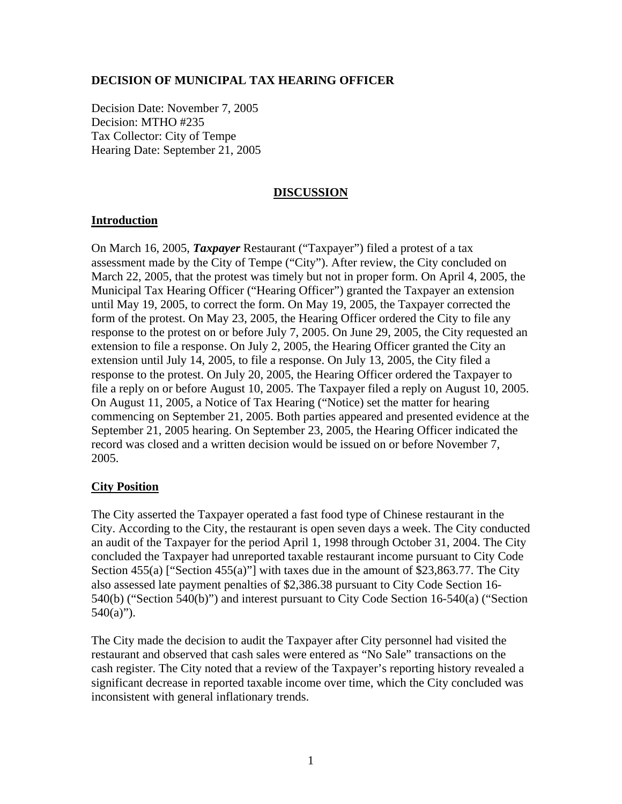## **DECISION OF MUNICIPAL TAX HEARING OFFICER**

Decision Date: November 7, 2005 Decision: MTHO #235 Tax Collector: City of Tempe Hearing Date: September 21, 2005

### **DISCUSSION**

## **Introduction**

On March 16, 2005, *Taxpayer* Restaurant ("Taxpayer") filed a protest of a tax assessment made by the City of Tempe ("City"). After review, the City concluded on March 22, 2005, that the protest was timely but not in proper form. On April 4, 2005, the Municipal Tax Hearing Officer ("Hearing Officer") granted the Taxpayer an extension until May 19, 2005, to correct the form. On May 19, 2005, the Taxpayer corrected the form of the protest. On May 23, 2005, the Hearing Officer ordered the City to file any response to the protest on or before July 7, 2005. On June 29, 2005, the City requested an extension to file a response. On July 2, 2005, the Hearing Officer granted the City an extension until July 14, 2005, to file a response. On July 13, 2005, the City filed a response to the protest. On July 20, 2005, the Hearing Officer ordered the Taxpayer to file a reply on or before August 10, 2005. The Taxpayer filed a reply on August 10, 2005. On August 11, 2005, a Notice of Tax Hearing ("Notice) set the matter for hearing commencing on September 21, 2005. Both parties appeared and presented evidence at the September 21, 2005 hearing. On September 23, 2005, the Hearing Officer indicated the record was closed and a written decision would be issued on or before November 7, 2005.

# **City Position**

The City asserted the Taxpayer operated a fast food type of Chinese restaurant in the City. According to the City, the restaurant is open seven days a week. The City conducted an audit of the Taxpayer for the period April 1, 1998 through October 31, 2004. The City concluded the Taxpayer had unreported taxable restaurant income pursuant to City Code Section 455(a) ["Section 455(a)"] with taxes due in the amount of \$23,863.77. The City also assessed late payment penalties of \$2,386.38 pursuant to City Code Section 16- 540(b) ("Section 540(b)") and interest pursuant to City Code Section 16-540(a) ("Section  $540(a)$ ").

The City made the decision to audit the Taxpayer after City personnel had visited the restaurant and observed that cash sales were entered as "No Sale" transactions on the cash register. The City noted that a review of the Taxpayer's reporting history revealed a significant decrease in reported taxable income over time, which the City concluded was inconsistent with general inflationary trends.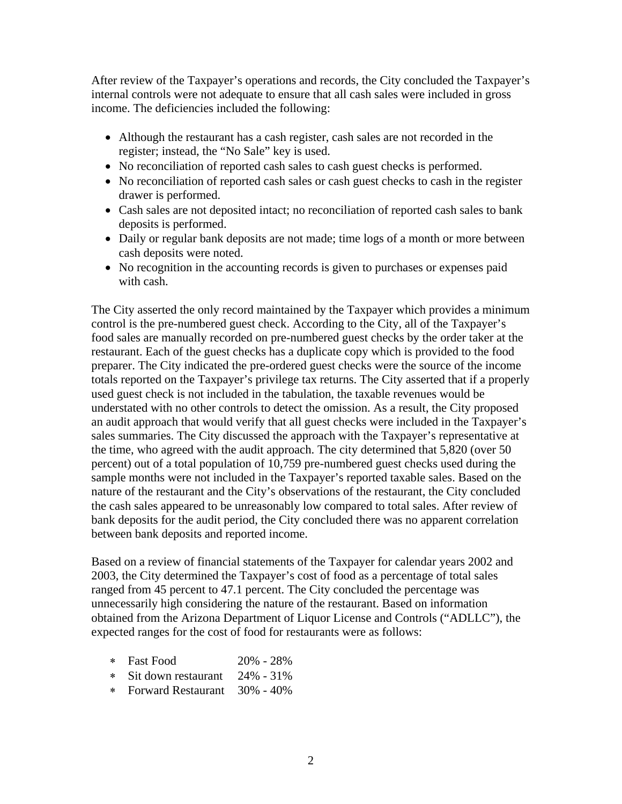After review of the Taxpayer's operations and records, the City concluded the Taxpayer's internal controls were not adequate to ensure that all cash sales were included in gross income. The deficiencies included the following:

- Although the restaurant has a cash register, cash sales are not recorded in the register; instead, the "No Sale" key is used.
- No reconciliation of reported cash sales to cash guest checks is performed.
- No reconciliation of reported cash sales or cash guest checks to cash in the register drawer is performed.
- Cash sales are not deposited intact; no reconciliation of reported cash sales to bank deposits is performed.
- Daily or regular bank deposits are not made; time logs of a month or more between cash deposits were noted.
- No recognition in the accounting records is given to purchases or expenses paid with cash.

The City asserted the only record maintained by the Taxpayer which provides a minimum control is the pre-numbered guest check. According to the City, all of the Taxpayer's food sales are manually recorded on pre-numbered guest checks by the order taker at the restaurant. Each of the guest checks has a duplicate copy which is provided to the food preparer. The City indicated the pre-ordered guest checks were the source of the income totals reported on the Taxpayer's privilege tax returns. The City asserted that if a properly used guest check is not included in the tabulation, the taxable revenues would be understated with no other controls to detect the omission. As a result, the City proposed an audit approach that would verify that all guest checks were included in the Taxpayer's sales summaries. The City discussed the approach with the Taxpayer's representative at the time, who agreed with the audit approach. The city determined that 5,820 (over 50 percent) out of a total population of 10,759 pre-numbered guest checks used during the sample months were not included in the Taxpayer's reported taxable sales. Based on the nature of the restaurant and the City's observations of the restaurant, the City concluded the cash sales appeared to be unreasonably low compared to total sales. After review of bank deposits for the audit period, the City concluded there was no apparent correlation between bank deposits and reported income.

Based on a review of financial statements of the Taxpayer for calendar years 2002 and 2003, the City determined the Taxpayer's cost of food as a percentage of total sales ranged from 45 percent to 47.1 percent. The City concluded the percentage was unnecessarily high considering the nature of the restaurant. Based on information obtained from the Arizona Department of Liquor License and Controls ("ADLLC"), the expected ranges for the cost of food for restaurants were as follows:

- ∗ Fast Food 20% 28%
- ∗ Sit down restaurant 24% 31%
- ∗ Forward Restaurant 30% 40%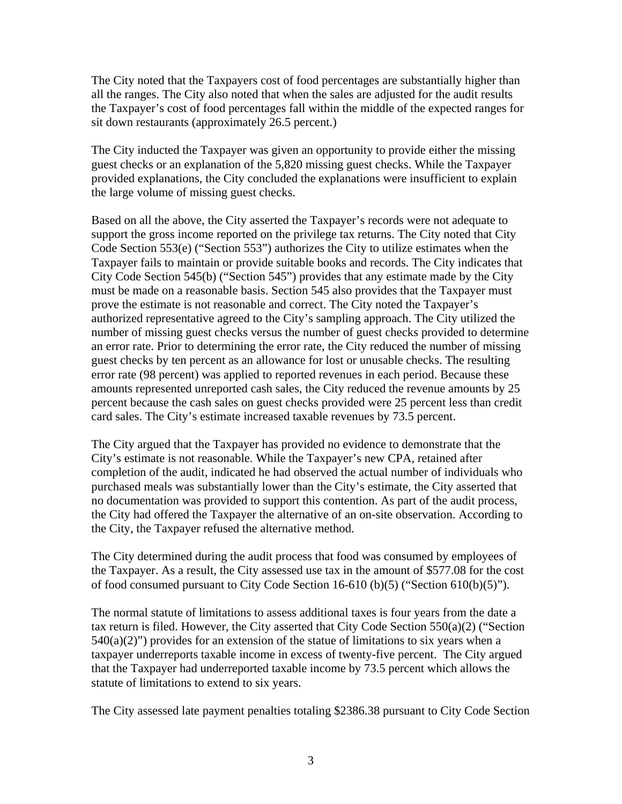The City noted that the Taxpayers cost of food percentages are substantially higher than all the ranges. The City also noted that when the sales are adjusted for the audit results the Taxpayer's cost of food percentages fall within the middle of the expected ranges for sit down restaurants (approximately 26.5 percent.)

The City inducted the Taxpayer was given an opportunity to provide either the missing guest checks or an explanation of the 5,820 missing guest checks. While the Taxpayer provided explanations, the City concluded the explanations were insufficient to explain the large volume of missing guest checks.

Based on all the above, the City asserted the Taxpayer's records were not adequate to support the gross income reported on the privilege tax returns. The City noted that City Code Section 553(e) ("Section 553") authorizes the City to utilize estimates when the Taxpayer fails to maintain or provide suitable books and records. The City indicates that City Code Section 545(b) ("Section 545") provides that any estimate made by the City must be made on a reasonable basis. Section 545 also provides that the Taxpayer must prove the estimate is not reasonable and correct. The City noted the Taxpayer's authorized representative agreed to the City's sampling approach. The City utilized the number of missing guest checks versus the number of guest checks provided to determine an error rate. Prior to determining the error rate, the City reduced the number of missing guest checks by ten percent as an allowance for lost or unusable checks. The resulting error rate (98 percent) was applied to reported revenues in each period. Because these amounts represented unreported cash sales, the City reduced the revenue amounts by 25 percent because the cash sales on guest checks provided were 25 percent less than credit card sales. The City's estimate increased taxable revenues by 73.5 percent.

The City argued that the Taxpayer has provided no evidence to demonstrate that the City's estimate is not reasonable. While the Taxpayer's new CPA, retained after completion of the audit, indicated he had observed the actual number of individuals who purchased meals was substantially lower than the City's estimate, the City asserted that no documentation was provided to support this contention. As part of the audit process, the City had offered the Taxpayer the alternative of an on-site observation. According to the City, the Taxpayer refused the alternative method.

The City determined during the audit process that food was consumed by employees of the Taxpayer. As a result, the City assessed use tax in the amount of \$577.08 for the cost of food consumed pursuant to City Code Section 16-610 (b)(5) ("Section 610(b)(5)").

The normal statute of limitations to assess additional taxes is four years from the date a tax return is filed. However, the City asserted that City Code Section 550(a)(2) ("Section  $540(a)(2)$ ") provides for an extension of the statue of limitations to six years when a taxpayer underreports taxable income in excess of twenty-five percent. The City argued that the Taxpayer had underreported taxable income by 73.5 percent which allows the statute of limitations to extend to six years.

The City assessed late payment penalties totaling \$2386.38 pursuant to City Code Section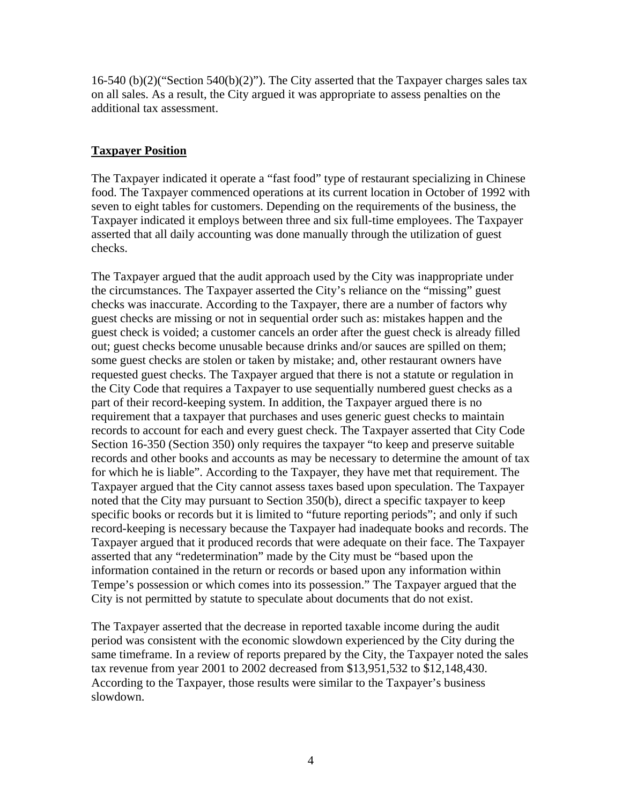16-540 (b)(2)("Section 540(b)(2)"). The City asserted that the Taxpayer charges sales tax on all sales. As a result, the City argued it was appropriate to assess penalties on the additional tax assessment.

## **Taxpayer Position**

The Taxpayer indicated it operate a "fast food" type of restaurant specializing in Chinese food. The Taxpayer commenced operations at its current location in October of 1992 with seven to eight tables for customers. Depending on the requirements of the business, the Taxpayer indicated it employs between three and six full-time employees. The Taxpayer asserted that all daily accounting was done manually through the utilization of guest checks.

The Taxpayer argued that the audit approach used by the City was inappropriate under the circumstances. The Taxpayer asserted the City's reliance on the "missing" guest checks was inaccurate. According to the Taxpayer, there are a number of factors why guest checks are missing or not in sequential order such as: mistakes happen and the guest check is voided; a customer cancels an order after the guest check is already filled out; guest checks become unusable because drinks and/or sauces are spilled on them; some guest checks are stolen or taken by mistake; and, other restaurant owners have requested guest checks. The Taxpayer argued that there is not a statute or regulation in the City Code that requires a Taxpayer to use sequentially numbered guest checks as a part of their record-keeping system. In addition, the Taxpayer argued there is no requirement that a taxpayer that purchases and uses generic guest checks to maintain records to account for each and every guest check. The Taxpayer asserted that City Code Section 16-350 (Section 350) only requires the taxpayer "to keep and preserve suitable records and other books and accounts as may be necessary to determine the amount of tax for which he is liable". According to the Taxpayer, they have met that requirement. The Taxpayer argued that the City cannot assess taxes based upon speculation. The Taxpayer noted that the City may pursuant to Section 350(b), direct a specific taxpayer to keep specific books or records but it is limited to "future reporting periods"; and only if such record-keeping is necessary because the Taxpayer had inadequate books and records. The Taxpayer argued that it produced records that were adequate on their face. The Taxpayer asserted that any "redetermination" made by the City must be "based upon the information contained in the return or records or based upon any information within Tempe's possession or which comes into its possession." The Taxpayer argued that the City is not permitted by statute to speculate about documents that do not exist.

The Taxpayer asserted that the decrease in reported taxable income during the audit period was consistent with the economic slowdown experienced by the City during the same timeframe. In a review of reports prepared by the City, the Taxpayer noted the sales tax revenue from year 2001 to 2002 decreased from \$13,951,532 to \$12,148,430. According to the Taxpayer, those results were similar to the Taxpayer's business slowdown.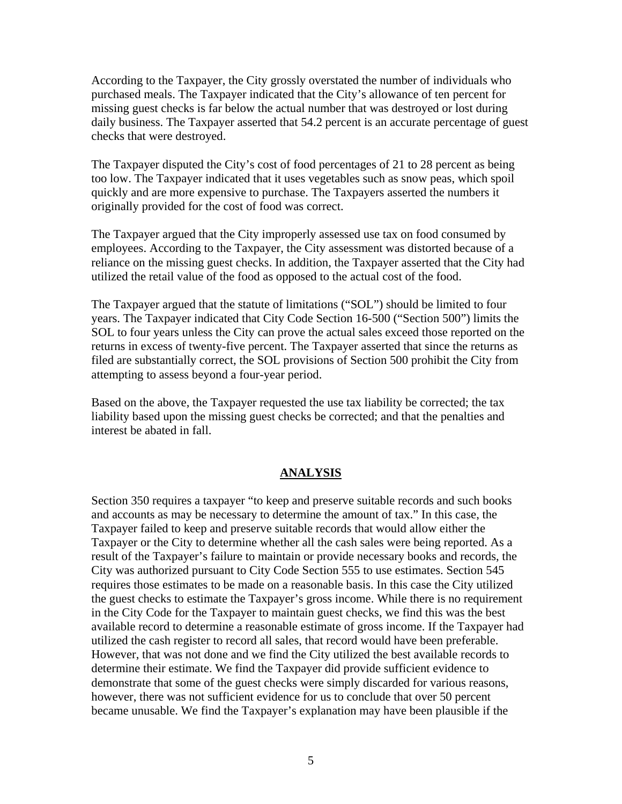According to the Taxpayer, the City grossly overstated the number of individuals who purchased meals. The Taxpayer indicated that the City's allowance of ten percent for missing guest checks is far below the actual number that was destroyed or lost during daily business. The Taxpayer asserted that 54.2 percent is an accurate percentage of guest checks that were destroyed.

The Taxpayer disputed the City's cost of food percentages of 21 to 28 percent as being too low. The Taxpayer indicated that it uses vegetables such as snow peas, which spoil quickly and are more expensive to purchase. The Taxpayers asserted the numbers it originally provided for the cost of food was correct.

The Taxpayer argued that the City improperly assessed use tax on food consumed by employees. According to the Taxpayer, the City assessment was distorted because of a reliance on the missing guest checks. In addition, the Taxpayer asserted that the City had utilized the retail value of the food as opposed to the actual cost of the food.

The Taxpayer argued that the statute of limitations ("SOL") should be limited to four years. The Taxpayer indicated that City Code Section 16-500 ("Section 500") limits the SOL to four years unless the City can prove the actual sales exceed those reported on the returns in excess of twenty-five percent. The Taxpayer asserted that since the returns as filed are substantially correct, the SOL provisions of Section 500 prohibit the City from attempting to assess beyond a four-year period.

Based on the above, the Taxpayer requested the use tax liability be corrected; the tax liability based upon the missing guest checks be corrected; and that the penalties and interest be abated in fall.

#### **ANALYSIS**

Section 350 requires a taxpayer "to keep and preserve suitable records and such books and accounts as may be necessary to determine the amount of tax." In this case, the Taxpayer failed to keep and preserve suitable records that would allow either the Taxpayer or the City to determine whether all the cash sales were being reported. As a result of the Taxpayer's failure to maintain or provide necessary books and records, the City was authorized pursuant to City Code Section 555 to use estimates. Section 545 requires those estimates to be made on a reasonable basis. In this case the City utilized the guest checks to estimate the Taxpayer's gross income. While there is no requirement in the City Code for the Taxpayer to maintain guest checks, we find this was the best available record to determine a reasonable estimate of gross income. If the Taxpayer had utilized the cash register to record all sales, that record would have been preferable. However, that was not done and we find the City utilized the best available records to determine their estimate. We find the Taxpayer did provide sufficient evidence to demonstrate that some of the guest checks were simply discarded for various reasons, however, there was not sufficient evidence for us to conclude that over 50 percent became unusable. We find the Taxpayer's explanation may have been plausible if the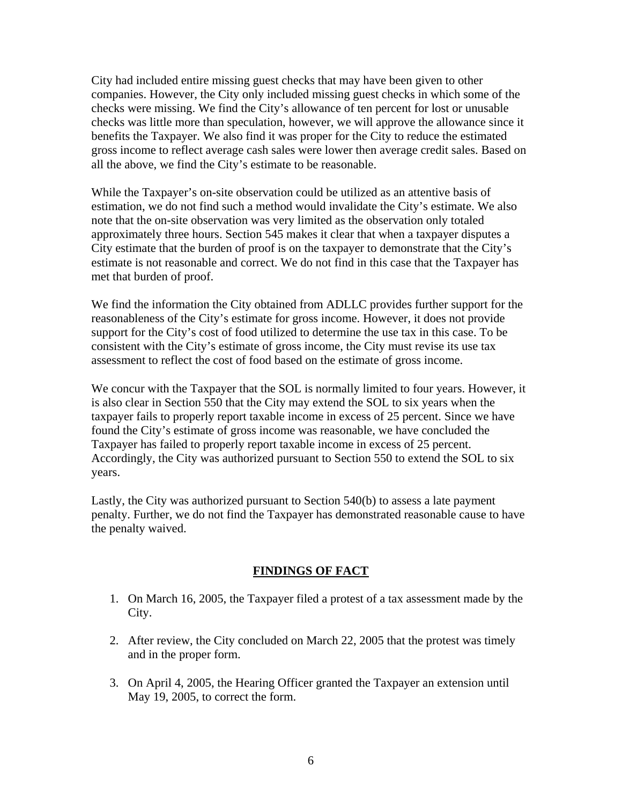City had included entire missing guest checks that may have been given to other companies. However, the City only included missing guest checks in which some of the checks were missing. We find the City's allowance of ten percent for lost or unusable checks was little more than speculation, however, we will approve the allowance since it benefits the Taxpayer. We also find it was proper for the City to reduce the estimated gross income to reflect average cash sales were lower then average credit sales. Based on all the above, we find the City's estimate to be reasonable.

While the Taxpayer's on-site observation could be utilized as an attentive basis of estimation, we do not find such a method would invalidate the City's estimate. We also note that the on-site observation was very limited as the observation only totaled approximately three hours. Section 545 makes it clear that when a taxpayer disputes a City estimate that the burden of proof is on the taxpayer to demonstrate that the City's estimate is not reasonable and correct. We do not find in this case that the Taxpayer has met that burden of proof.

We find the information the City obtained from ADLLC provides further support for the reasonableness of the City's estimate for gross income. However, it does not provide support for the City's cost of food utilized to determine the use tax in this case. To be consistent with the City's estimate of gross income, the City must revise its use tax assessment to reflect the cost of food based on the estimate of gross income.

We concur with the Taxpayer that the SOL is normally limited to four years. However, it is also clear in Section 550 that the City may extend the SOL to six years when the taxpayer fails to properly report taxable income in excess of 25 percent. Since we have found the City's estimate of gross income was reasonable, we have concluded the Taxpayer has failed to properly report taxable income in excess of 25 percent. Accordingly, the City was authorized pursuant to Section 550 to extend the SOL to six years.

Lastly, the City was authorized pursuant to Section 540(b) to assess a late payment penalty. Further, we do not find the Taxpayer has demonstrated reasonable cause to have the penalty waived.

### **FINDINGS OF FACT**

- 1. On March 16, 2005, the Taxpayer filed a protest of a tax assessment made by the City.
- 2. After review, the City concluded on March 22, 2005 that the protest was timely and in the proper form.
- 3. On April 4, 2005, the Hearing Officer granted the Taxpayer an extension until May 19, 2005, to correct the form.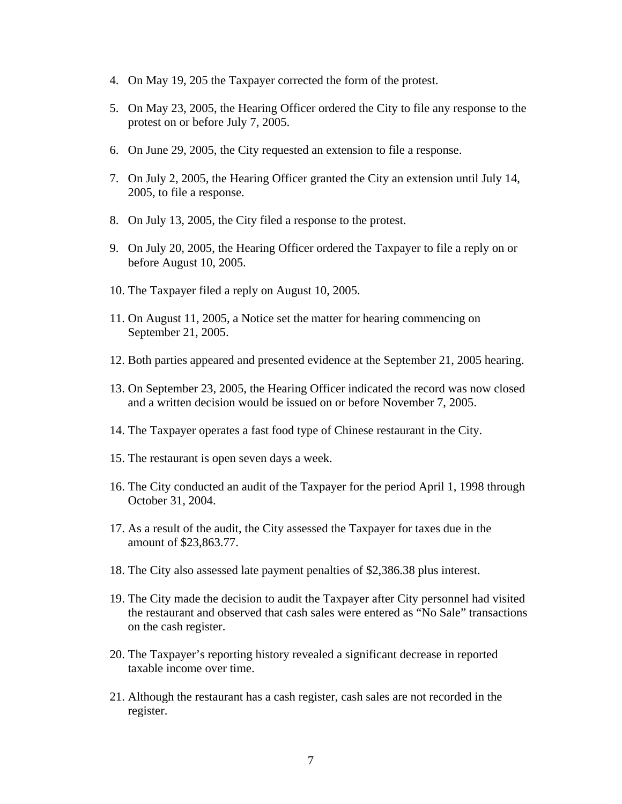- 4. On May 19, 205 the Taxpayer corrected the form of the protest.
- 5. On May 23, 2005, the Hearing Officer ordered the City to file any response to the protest on or before July 7, 2005.
- 6. On June 29, 2005, the City requested an extension to file a response.
- 7. On July 2, 2005, the Hearing Officer granted the City an extension until July 14, 2005, to file a response.
- 8. On July 13, 2005, the City filed a response to the protest.
- 9. On July 20, 2005, the Hearing Officer ordered the Taxpayer to file a reply on or before August 10, 2005.
- 10. The Taxpayer filed a reply on August 10, 2005.
- 11. On August 11, 2005, a Notice set the matter for hearing commencing on September 21, 2005.
- 12. Both parties appeared and presented evidence at the September 21, 2005 hearing.
- 13. On September 23, 2005, the Hearing Officer indicated the record was now closed and a written decision would be issued on or before November 7, 2005.
- 14. The Taxpayer operates a fast food type of Chinese restaurant in the City.
- 15. The restaurant is open seven days a week.
- 16. The City conducted an audit of the Taxpayer for the period April 1, 1998 through October 31, 2004.
- 17. As a result of the audit, the City assessed the Taxpayer for taxes due in the amount of \$23,863.77.
- 18. The City also assessed late payment penalties of \$2,386.38 plus interest.
- 19. The City made the decision to audit the Taxpayer after City personnel had visited the restaurant and observed that cash sales were entered as "No Sale" transactions on the cash register.
- 20. The Taxpayer's reporting history revealed a significant decrease in reported taxable income over time.
- 21. Although the restaurant has a cash register, cash sales are not recorded in the register.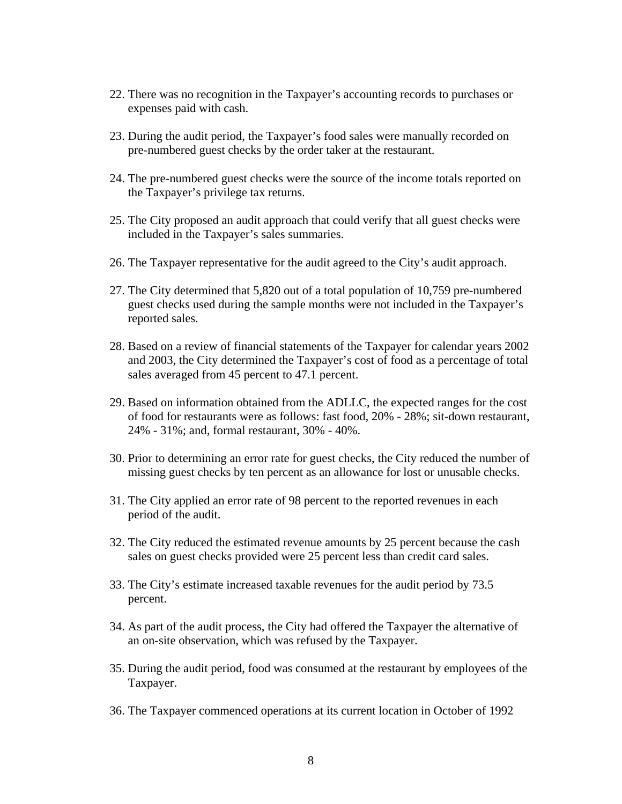- 22. There was no recognition in the Taxpayer's accounting records to purchases or expenses paid with cash.
- 23. During the audit period, the Taxpayer's food sales were manually recorded on pre-numbered guest checks by the order taker at the restaurant.
- 24. The pre-numbered guest checks were the source of the income totals reported on the Taxpayer's privilege tax returns.
- 25. The City proposed an audit approach that could verify that all guest checks were included in the Taxpayer's sales summaries.
- 26. The Taxpayer representative for the audit agreed to the City's audit approach.
- 27. The City determined that 5,820 out of a total population of 10,759 pre-numbered guest checks used during the sample months were not included in the Taxpayer's reported sales.
- 28. Based on a review of financial statements of the Taxpayer for calendar years 2002 and 2003, the City determined the Taxpayer's cost of food as a percentage of total sales averaged from 45 percent to 47.1 percent.
- 29. Based on information obtained from the ADLLC, the expected ranges for the cost of food for restaurants were as follows: fast food, 20% - 28%; sit-down restaurant, 24% - 31%; and, formal restaurant, 30% - 40%.
- 30. Prior to determining an error rate for guest checks, the City reduced the number of missing guest checks by ten percent as an allowance for lost or unusable checks.
- 31. The City applied an error rate of 98 percent to the reported revenues in each period of the audit.
- 32. The City reduced the estimated revenue amounts by 25 percent because the cash sales on guest checks provided were 25 percent less than credit card sales.
- 33. The City's estimate increased taxable revenues for the audit period by 73.5 percent.
- 34. As part of the audit process, the City had offered the Taxpayer the alternative of an on-site observation, which was refused by the Taxpayer.
- 35. During the audit period, food was consumed at the restaurant by employees of the Taxpayer.
- 36. The Taxpayer commenced operations at its current location in October of 1992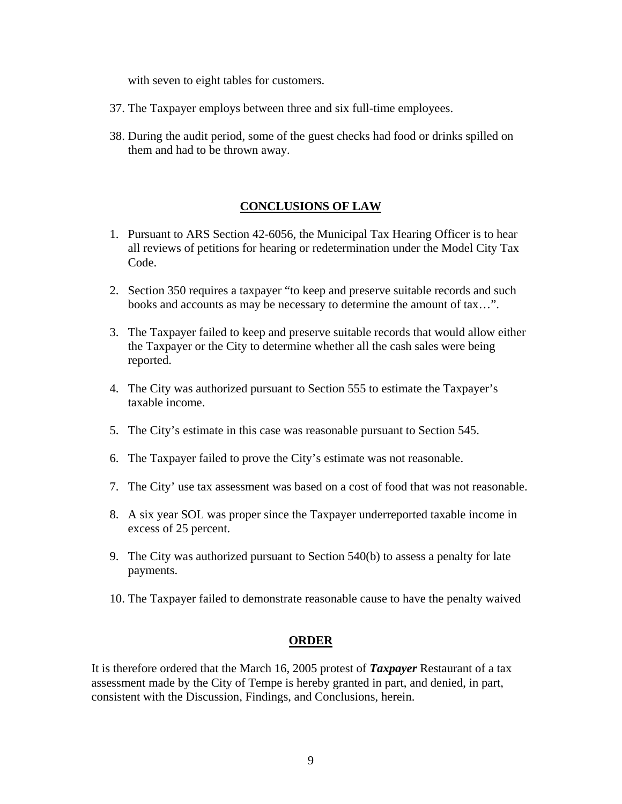with seven to eight tables for customers.

- 37. The Taxpayer employs between three and six full-time employees.
- 38. During the audit period, some of the guest checks had food or drinks spilled on them and had to be thrown away.

# **CONCLUSIONS OF LAW**

- 1. Pursuant to ARS Section 42-6056, the Municipal Tax Hearing Officer is to hear all reviews of petitions for hearing or redetermination under the Model City Tax Code.
- 2. Section 350 requires a taxpayer "to keep and preserve suitable records and such books and accounts as may be necessary to determine the amount of tax…".
- 3. The Taxpayer failed to keep and preserve suitable records that would allow either the Taxpayer or the City to determine whether all the cash sales were being reported.
- 4. The City was authorized pursuant to Section 555 to estimate the Taxpayer's taxable income.
- 5. The City's estimate in this case was reasonable pursuant to Section 545.
- 6. The Taxpayer failed to prove the City's estimate was not reasonable.
- 7. The City' use tax assessment was based on a cost of food that was not reasonable.
- 8. A six year SOL was proper since the Taxpayer underreported taxable income in excess of 25 percent.
- 9. The City was authorized pursuant to Section 540(b) to assess a penalty for late payments.
- 10. The Taxpayer failed to demonstrate reasonable cause to have the penalty waived

### **ORDER**

It is therefore ordered that the March 16, 2005 protest of *Taxpayer* Restaurant of a tax assessment made by the City of Tempe is hereby granted in part, and denied, in part, consistent with the Discussion, Findings, and Conclusions, herein.